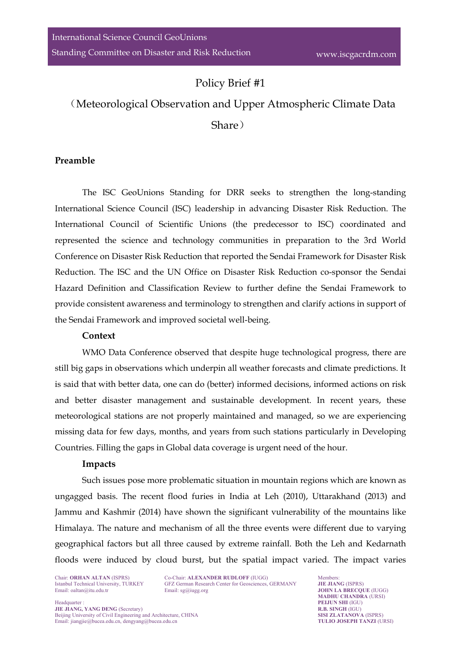# Policy Brief #1

# (Meteorological Observation and Upper Atmospheric Climate Data Share)

### **Preamble**

The ISC GeoUnions Standing for DRR seeks to strengthen the long-standing International Science Council (ISC) leadership in advancing Disaster Risk Reduction. The International Council of Scientific Unions (the predecessor to ISC) coordinated and represented the science and technology communities in preparation to the 3rd World Conference on Disaster Risk Reduction that reported the Sendai Framework for Disaster Risk Reduction. The ISC and the UN Office on Disaster Risk Reduction co-sponsor the Sendai Hazard Definition and Classification Review to further define the Sendai Framework to provide consistent awareness and terminology to strengthen and clarify actions in support of the Sendai Framework and improved societal well-being.

#### **Context**

WMO Data Conference observed that despite huge technological progress, there are still big gaps in observations which underpin all weather forecasts and climate predictions. It is said that with better data, one can do (better) informed decisions, informed actions on risk and better disaster management and sustainable development. In recent years, these meteorological stations are not properly maintained and managed, so we are experiencing missing data for few days, months, and years from such stations particularly in Developing Countries. Filling the gaps in Global data coverage is urgent need of the hour.

#### **Impacts**

Such issues pose more problematic situation in mountain regions which are known as ungagged basis. The recent flood furies in India at Leh (2010), Uttarakhand (2013) and Jammu and Kashmir (2014) have shown the significant vulnerability of the mountains like Himalaya. The nature and mechanism of all the three events were different due to varying geographical factors but all three caused by extreme rainfall. Both the Leh and Kedarnath floods were induced by cloud burst, but the spatial impact varied. The impact varies

Chair: **ORHAN ALTAN** (ISPRS) Co-Chair: **ALEXANDER RUDLOFF** (IUGG) Members:<br>
Istanbul Technical University, TURKEY GFZ German Research Center for Geosciences, GERMANY **JIE JIANG** (ISPRS) Istanbul Technical University, TURKEY GFZ German Research Center for Geosciences, GERMANY Email: oaltan@itu.edu.tr<br>Email: sg@iugg.org

Email: [oaltan@itu.edu.tr](mailto:oaltan@itu.edu.tr) Email[: sg@iugg.org](mailto:sg@iugg.org) **JOHN LA BRECQUE** (IUGG) **MADHU CHANDRA** (URSI)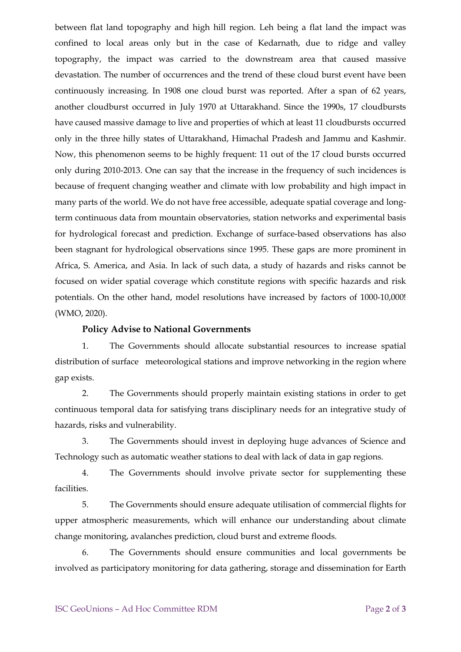between flat land topography and high hill region. Leh being a flat land the impact was confined to local areas only but in the case of Kedarnath, due to ridge and valley topography, the impact was carried to the downstream area that caused massive devastation. The number of occurrences and the trend of these cloud burst event have been continuously increasing. In 1908 one cloud burst was reported. After a span of 62 years, another cloudburst occurred in July 1970 at Uttarakhand. Since the 1990s, 17 cloudbursts have caused massive damage to live and properties of which at least 11 cloudbursts occurred only in the three hilly states of Uttarakhand, Himachal Pradesh and Jammu and Kashmir. Now, this phenomenon seems to be highly frequent: 11 out of the 17 cloud bursts occurred only during 2010-2013. One can say that the increase in the frequency of such incidences is because of frequent changing weather and climate with low probability and high impact in many parts of the world. We do not have free accessible, adequate spatial coverage and longterm continuous data from mountain observatories, station networks and experimental basis for hydrological forecast and prediction. Exchange of surface-based observations has also been stagnant for hydrological observations since 1995. These gaps are more prominent in Africa, S. America, and Asia. In lack of such data, a study of hazards and risks cannot be focused on wider spatial coverage which constitute regions with specific hazards and risk potentials. On the other hand, model resolutions have increased by factors of 1000-10,000! (WMO, 2020).

#### **Policy Advise to National Governments**

1. The Governments should allocate substantial resources to increase spatial distribution of surface meteorological stations and improve networking in the region where gap exists.

2. The Governments should properly maintain existing stations in order to get continuous temporal data for satisfying trans disciplinary needs for an integrative study of hazards, risks and vulnerability.

3. The Governments should invest in deploying huge advances of Science and Technology such as automatic weather stations to deal with lack of data in gap regions.

4. The Governments should involve private sector for supplementing these facilities.

5. The Governments should ensure adequate utilisation of commercial flights for upper atmospheric measurements, which will enhance our understanding about climate change monitoring, avalanches prediction, cloud burst and extreme floods.

6. The Governments should ensure communities and local governments be involved as participatory monitoring for data gathering, storage and dissemination for Earth